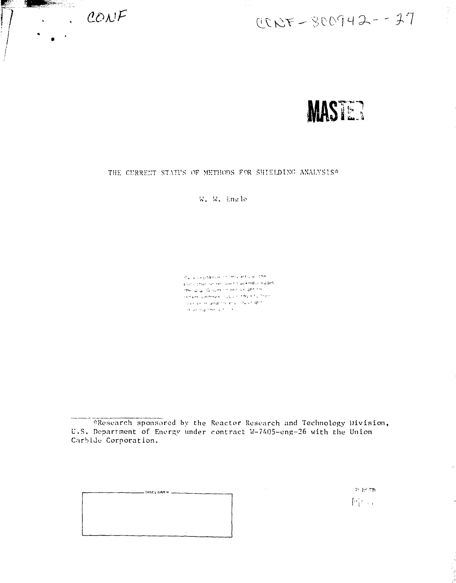



# THE CURRENT STATUS OF METHODS FOR SHIELDING ANALYSIS\*

W. W. Engle

de a coptanue of mislacture, the Including or reconstructions advised ages the dig Government of ght this Harain Linches (1999) Constitution neclasie and to imviting complete أتدارك والمطاوي والمراقب

\*Research sponsored by the Reactor Research and Technology Division, U.S. Department of Energy under contract W-7405-eng-26 with the Union Carbide Corporation.

 $-$  DISCLAIMER  $-$ 

 $2^{\pm}$   $2^{\pm}$   $2\pi$ 树山

þ,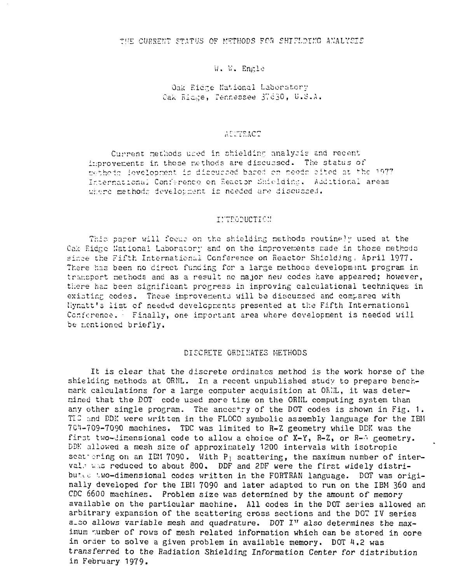## W. W. Engle

## Oak Ridge National Laboratory Cak Ridge, Tennessee 37630, U.S.A.

#### AUCTEACT

Current methods used in shielding analysis and recent improvements in those methods are discussed. The status of methods levelopment is discussed bared on needs cited at the 1977 International Conference on Reactor Shielding, Additional areas where methods develousent is needed are discussed.

#### INTRODUCTION

This paper will focus on the shielding methods routingly used at the Cak Ridge National Laboratory and on the improvements made in those methods since the Fifth International Conference on Reactor Shielding, April 1977. There has been no direct funding for a large methods development program in transport methods and as a result no major new codes have appeared; however, there has been significant progress in improving calculational techniques in existing codes. These improvements will be discussed and compared with liynatt's list of needed developments presented at the Fifth International Conference. Finally, one important area where development is needed will be mentioned briefly.

#### DISCRETE ORDINATES METHODS

It is clear that the discrete ordinates method is the work horse of the shielding methods at ORNL. In a recent unpublished study to prepare benchmark calculations for a large computer acquisition at ORNL, it was determined that the DOT code used more time on the ORNL computing system than any other single program. The ancestry of the DOT codes is shown in Fig. 1. TIC and DDK were written in the FLOCO symbolic assembly language for the IBM 704-709-7090 machines. TDC was limited to R-Z geometry while DDK was the first two-dimensional code to allow a choice of X-Y, R-Z, or R-A geometry. DDK allowed a mesh size of approximately 1200 intervals with isotropic seat ering on an IBM 7090. With P<sub>1</sub> scattering, the maximum number of intervals was reduced to about 800. DDF and 2DF were the first widely distributed two-dimensional codes written in the FORTRAN language. DOT was originally developed for the IBN 7090 and later adapted to run on the IBM 360 and CDC 6600 machines. Problem size was determined by the amount of memory available on the particular machine. All codes in the DOT series allowed an arbitrary expansion of the scattering cross sections and the DOT IV series a\_so allows variable mesh and quadrature. DOT I" also determines the maximum number of rows of mesh related information which can be stored in core in order to solve a given problem in available memory. DOT 4.2 was transferred to the Radiation Shielding Information Center for distribution in February 1979.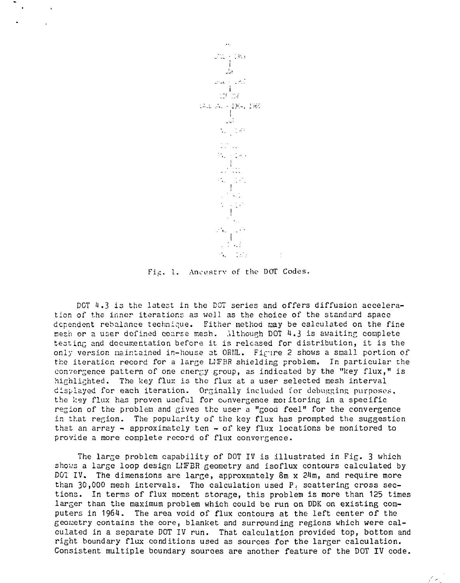

 $\mathbf{R}$ 

 $\sim$  $\sim 10$ 

Fig. I. Aneestrv of the DOT Codes.

DCT 1.3 is the latest in the DOT series and offers diffusion acceleration of the inner iterations as well as the choice of the standard space dependent rebalance technique. Either method may be calculated on the fine nesh or a user defined coarse mesh. Although DOT 4.3 is awaiting complete testing and documentation before it is released for distribution, it is the only version maintained in-house at ORHL. Figure 2 shows a small portion of the iteration record for a large LMFBR shielding problem. In particular the convergence pattern of one energy group, as indicated by the "key flux," is highlighted. The key flux is the flux at a user selected mesh interval displayed for each iteration. Orginally included for debugging purposes, the key flux has proven useful for convergence mot itoring in a specific region of the problem and gives the user a "good feel" for the convergence in that region. The popularity of the key flux has prompted the suggestion that an array  $-$  approximately ten  $-$  of key flux locations be monitored to provide a more complete record of flux convergence.

The large problem capability of DOT IV is illustrated in Fig. 3 which shows a large loop design LIFBR geometry and isoflux contours calculated by DOT IV. The dimensions are large, approxmately  $8m \times 24m$ , and require more than  $30,000$  mesh intervals. The calculation used  $P_1$  scattering cross sections. In terms of flux moment storage, this problem is more than 125 times larger than the maximum problem which could be run on DDK on existing computers in 1964. The area void of flux contours at the left center of the geonetry contains the core, blanket and surrounding regions which were calculated in a separate DOT IV run. That calculation provided top, bottom and right boundary flux conditions used as sources for the larger calculation. Consistent multiple boundary sources are another feature of the DOT IV code.

 $\mathcal{F}(\mathbf{z}_n)$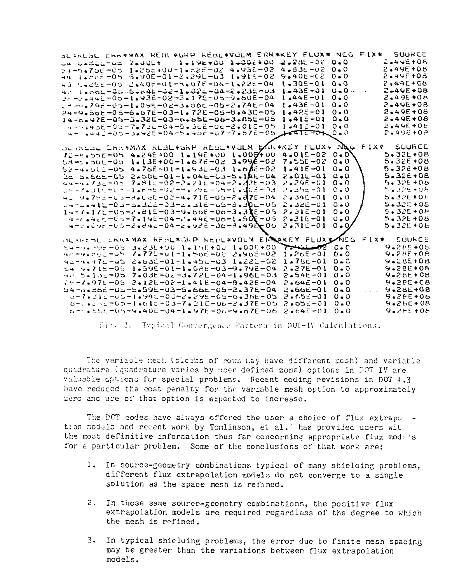| SLANGGL ERRAMAX REBLÆGRP REBLÆVOLM ERRÆKEY FLUXÆ NEG FIXÆ SOURCE                                              |                                       |                               |
|---------------------------------------------------------------------------------------------------------------|---------------------------------------|-------------------------------|
| 1.196+00 1.006+00<br>ua cadibros Zadúlt                                                                       | 21 = 28F - 02<br>$0 - 0$              | 2.49E+08                      |
| 50-3261-01-11-201-14-522-1-02-02-02-02                                                                        | $4 - 83E - 02$<br>$0 - 0$             | $2.49E + 08$                  |
| 44 1.8000-05 5.900-01-2.291-03 1.915-02                                                                       | $9 - 40 + -02$<br>$0 - 0$             | $2.49E + 0.8$                 |
| 43 54256-05 2.406-01-5.076-04-1.226-04                                                                        | $0 - 0$<br>$1 - 305 - 01$             | 2.49E+06                      |
| 4. Leoni-35-5en46-32-1e026-04-2e238-03.                                                                       | $1 - 435 - 01$<br>$0 - 0 -$           | $2 - 49E + 08$                |
| $32 - 0.446 - 0.0 - 1.936 - 0.2 - 3.176 - 0.6 - 9.606 - 0.4$                                                  | $1.44E - 01$<br>$0 - 0$               | $2.495 + 06$                  |
| J-3-4.79E-05-1.09E-02-3.86E-05-2.74E-04                                                                       | $0 - 0$<br>$1.436 - 01$               | 2.49E+08                      |
| 24-9.56E-05-6.67E-03-1.72E-05-8.43E-05                                                                        | 0.0<br>$1.42E - 01$                   | 2.49E+08                      |
| 14-6-47E-05-3-32E-03-6-65E-06-3-85E-05                                                                        | $0 - 0$<br>$1 - 41E - 01$             | 2.49E+08                      |
| 4-0.456-05-7.750-04-5.366-06-2.012-05                                                                         | $1 - 41E - 01$<br>0.0                 | $2.49E + 0E$                  |
| 4- 4443-05-3.425-04-5.4965-07-7.876-06                                                                        | L                                     | 2.496+08                      |
|                                                                                                               |                                       |                               |
| ULINEAL ENREMAX NEBLAGNP REBEAVOUM EARAKEY FLUXA NEG FIXA                                                     |                                       | SOURCE                        |
| $72 - F$ .55E-05 4.24E-00 1.19E+00 1.005400                                                                   | $4.01E - 02$<br>$0 - 0$               | $5 - 32E + 0.8$               |
| $53 - 2.50E - 05$ 1.13E + 00-1.67E - 02 3.99E - 02                                                            | 7.55E-02<br>$0 - 0$                   | $5.32E + 0B$                  |
| $52 - 4.066 - 05$ $4.766 - 01 - 1.936 - 03$ $1.086 - 02$                                                      | $1 - 41E - 01$<br>0.0                 | $5.326+08$                    |
| Ge S.665-05 2.506-01-1.046-03-5.1A6-04                                                                        | $2.01E - 01$<br>$0 - 0$               | $5.32E + 08$<br>$5.32E + 0.6$ |
| $44 - 4$ , $73 = -05$ $7.81 = -02 - 2$ , $21 = -04 - 2$ , $23 = 03$                                           | 2,296-01<br>$0 - 0$                   | 5.32日+0万                      |
| こと そでゅうしんそいき こしゅどうど このごろりゅうめん こりちゃしゅばしきそのき                                                                    | 2.352-01<br>$0 - 0$                   | $5.32E + 0E$                  |
| 40 Y.75c-up-d.Cab-03-4.716-05-2.87E-04<br>. grupali – Ou-baddž-Od-ka niž – ub-BadDž-Ub                        | $2.34E - 01$<br>$0 - 0$<br>د ـ د      | $5.32E + 0.6$                 |
|                                                                                                               | 2.326-01<br>$2 - 31E - 01$<br>$0 - 0$ | $5.32E + 0F$                  |
| $14 - 112 - 05 - 2481E - 03 - 9.60E - 00 - 3.3E - 05$<br>$4 - 1.42 + 0.7 - 7.196 - 0.4 - 1.446 - 0.6 - 1.650$ | $2 - 31E - 01$<br>$0 - 0$             | $5.32E + 0B$                  |
| 4-3.096-05-2.846-04-2.926-J6-4.498-06                                                                         | $2 - 31E - 01$<br>0.0                 | $5 - 32F + 0F$                |
|                                                                                                               |                                       |                               |
| OL INEME ENNAMAX REBEAGNP REDEAVOLM ERNAKEY FEUXEAVEG                                                         |                                       | $F1X*$<br>SUURCE              |
| $3.236 + 90$ 1.15E + 00 1.00E + 00<br>ヒュール・パリヒーりつ                                                             | $7 - 12$<br>$c \cdot c$               | 9.285+05                      |
| 40-44200--05 7.775-01-1.506-02 2.968-02                                                                       | 1.26E-01<br>$0 - 0$                   | $9.79E + 0.8$                 |
| achaalteed 2.532-01-1.452-03 1.222-52                                                                         | $1.25 - 0.1$<br>$\Omega - \Omega$     | $9.285+0.8$                   |
| $54.9$ , $715 - 05$ $1.595 - 01 - 1.045 - 03 - 9.795 - 04$                                                    | $0 - 0$<br>$2.27E - 0.1$              | $9.285+0.5$                   |
| 40 5.135-05 7.03E-06-3.72E-04-1.96E-03                                                                        | $2.54E - 01$<br>0.0                   | 9.28E+08                      |
| $25 - 7.971 - 05$ $2.125 - 0.2 - 1.415 - 0.4 - 8.425 - 0.4$                                                   | $2.64 - 01$<br>$0 - 0$                | $9.28E + C8$                  |
| $54 - 0.17E - 0.5 - 5.59E - 0.3 - 5.66E - 0.5 - 2.37E - 0.4$                                                  | $2 - 66E - 01$<br>$Q - Q$             | $9 - 28 + 08$                 |
| a-7.3bE-05-3bE-05-2-2-29E-05-6-3bE-05                                                                         | $2.65 - 01$<br>$0 - 0$                | $9.255+0.6$                   |
| 6-, -65-1.01E+03-7.21E-06-2.37E-05                                                                            | 2.552-01<br>$0 - 0$                   | $9 - 26E + 08$                |
| timits back =05-9.40E-04-1.97E-06-9.67E-06                                                                    | $2.64E - 01$<br>$0 - 0$               | $9 - 2F + 0F$                 |

Fin. 2. Typical Convergence Partern in DOT-IV Calculations.

The variable mech (blocks of rows may have different mesh) and variable quadrature (quadrature varies by user defined zone) options in DOT IV are valuable options for special problems. Recent coding revisions in DOT 4.3 have reduced the cost penalty for the variable mesh option to approximately zero and use of that option is expected to increase.

The DOT codes have always offered the user a choice of flux extrape tion models and recent work by Tomlinson, et al. has provided users wit the most definitive information thus far concerning appropriate flux models for a particular problem. Some of the conclusions of that work are:

- 1. In source-geometry combinations typical of many shielding problems, different flux extrapolation models do not converge to a single solution as the space mesh is refined.
- 2. In those same source-geometry combinations, the positive flux extrapolation models are required regardless of the degree to which the mesh is refined.
- 3. In typical shieluing problems, the error due to finite mesh spacing may be greater than the variations between flux extrapolation models.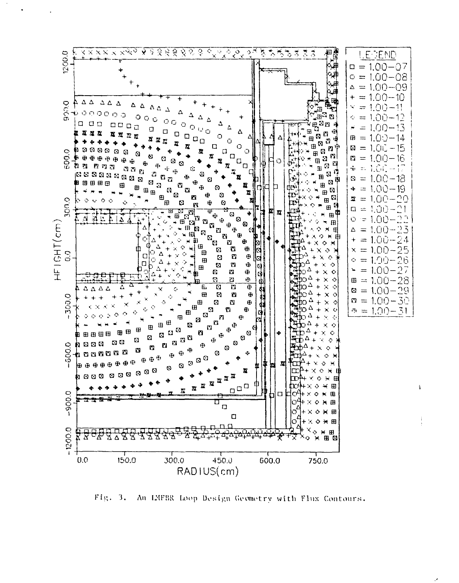

Fig. 3. An LMFBR Loop Design Geometry with Flux Contours.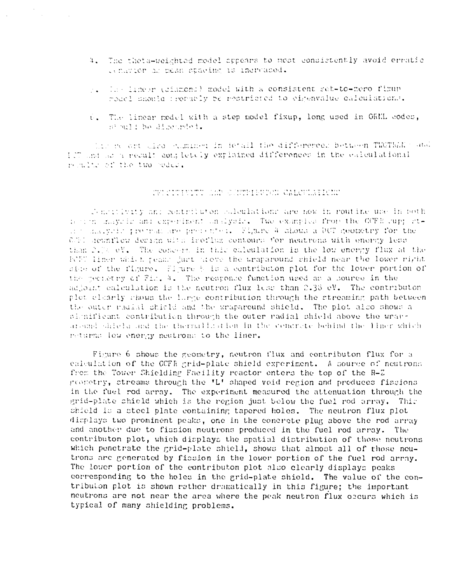- 4. The theta-weighted model appears to mest consistently avoid erratic centron at mean spacing is increased.
- p. The linear (cimmons) model with a consistent set-to-mero fimup roacl should propably be restricted to eirenvalue calculations.
- 0. The linear model with a step model fixup, long used in ORNL codes. stould be discussed:

his resort theo cumined in formal the differenced between TWOTERN's and If and as a result contiently explained differences in the calculational mentioned the two podes.

#### TU CITINITI AM SANNIEURA CALCULATIONE

Conceitivity and contributon coloulations are now in routine une in both terior indycle and experiment unalysis. Two examples from the CCFR cupp ating dialycic productive presenter. Figure 4 shows a DCT geometry for the C.El dewnflow derign with iroflwx contours for neatrons with energy less than 2.7% eV. The concern in this calculation is the low energy flux at the FCFT liner which peans just alove the uraparound shield near the lower right side of the figure. Figure 5 is a contributon plot for the lower portion of the meeterny of Fig. 4. The response function used as a source in the adjoint calculation is the neutron flux less than 2.38 eV. The contributon plot clearly chows the large contribution through the streaming path between the outer radial shirld and the wraparound shield. The plot also shows a plumificant contribution through the outer radial shield above the wraparound shield and the thermalisation in the condrate behind the liner which neturns low energy neutrons to the liner.

Figure 6 shows the geometry, neutron flux and contributon flux for a calculation of the CCFR grid-plate shield experiment. A source of neutrons from the Tower Shielding Facility reactor enters the top of the R-Z groundry, streams through the 'L' shaped void region and produces fissions in the fuel rod array. The experiment measured the attenuation through the grid-plate shield which is the region just below the fuel rod array. This shield is a steel plate containing tapered holes. The neutron flux plot displays two prominent peaks, one in the concrete plug above the rod array and another due to fission neutrons produced in the fuel rod array. The contributon plot, which displays the spatial distribution of those neutrons which penetrate the grid-plate shield, shows that almost all of those neutrons are generated by fission in the lower portion of the fuel rod array. The lower portion of the contributon plot also clearly displays peaks corresponding to the holes in the grid-plate shield. The value of the contributon plot is shown rather dramatically in this figure; the important neutrons are not near the area where the peak neutron flux occurs which is typical of many shielding problems.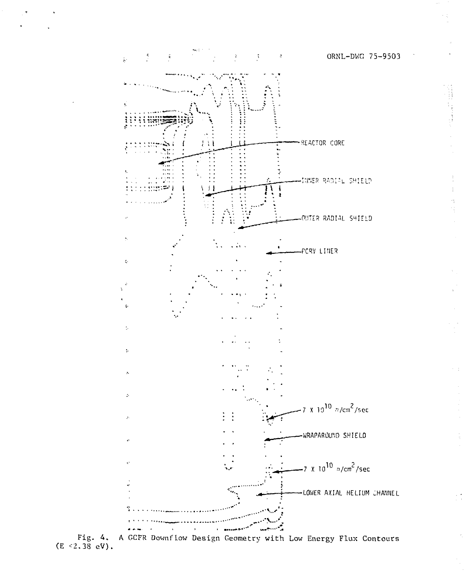

 $\hat{\mathbf{1}}$ 

 $\frac{1}{2}$ 

Fig. 4. A GCFR Downflow Design Geometry with Low Energy Flux Contours (E <2.38 eV).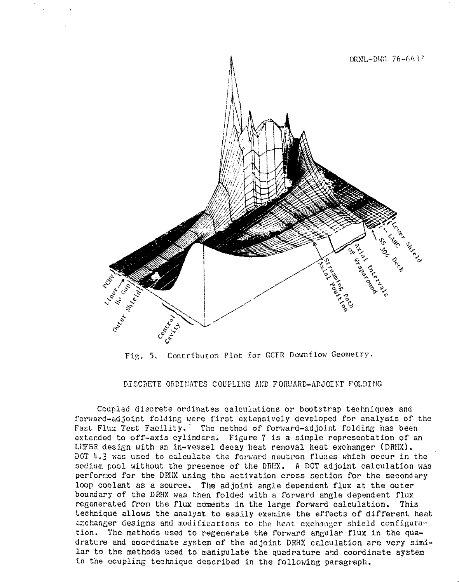

Fig. 5. Contributon Plot for GCFR Downflow Geometry.

DISCRETE ORDI1JATES COUPLING AKD FORUARD-ADJOIKT FOLDING

Coupled discrete ordinates calculations or bootstrap techniques and forward-adjoint folding were first extensively developed for analysis of the Fast Flux Test Facility. The method of forward-adjoint folding has been extended to off-axis cylinders. Figure 7 is a simple representation of an LIFBR design with an in-vessel decay heat removal heat exchanger (DRHX). DOT 4.3 was used to calculate the forward neutron fluxes which occur in the sodium pool without the presence of the DRHX. A DOT adjoint calculation was performed for the DRHX using the activation cross section for the secondary loop coolant as a source. The adjoint angle dependent flux at the outer boundary of the DRHX was then folded with a forward angle dependent flux regenerated from the flux moments in the large forward calculation. This technique allows the analyst to easily examine the effects of different heat exchanger designs and modifications to the heat exchanger shield configuration. The methods used to regenerate the forward angular flux in the quadrature and coordinate system of the adjoint DRHX calculation are very similar to the methods used to manipulate the quadrature and coordinate system in the coupling technique described in the following paragraph.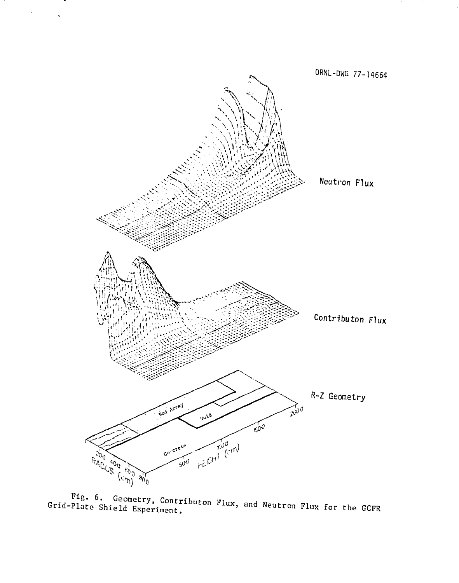

 $\hat{\mathbf{r}}$ 

Fig. 6. Geometry, Contributon Flux, and Neutron Flux for the GCFR Grid-Plate Shield Experiment.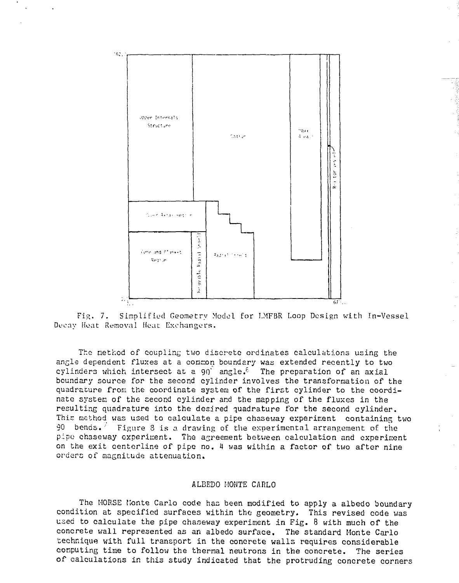

Fig. 7. Simplified Geometry Model for I.MFBR Loop Design with In-Vessel Decay Hoat Removal Heat Exchangers.

The nethod of coupling two discrete ordinates calculations using the angle dependent fluxes at a common boundary was extended recently to two cylinders which intersect at a 90 angle.<sup> $\epsilon$ </sup> The preparation of an axial boundary source for the second cylinder involves the transformation of the quadrature from the coordinate system of the first cylinder to the coordinate system of the second cylinder and the mapping of the fluxes in the resulting quadrature into the desired quadrature for the second cylinder. This method was used to calculate a pipe chaseuay experiment containing two 90 bends.  $\overline{ }$  Figure 8 is a drawing of the experimental arrangement of the pipe chaseway experiment. The agreement between calculation and experiment on the exit centerline of pipe no. 4 was within a factor of two after nine orders of magnitude attenuation.

### ALBEDO MONTE CARLO

The MORSE Monte Carlo code has been modified to apply a albedo boundary condition at specified surfaces within the geometry. This revised code was used to calculate the pipe chaseway experiment in Fig. 8 with much of the concrete wall represented as an albedo surface. The standard Monte Carlo technique with full transport in the concrete walls requires considerable computing time to follow the thermal neutrons in the concrete. The series of calculations in this study indicated that the protruding concrete corners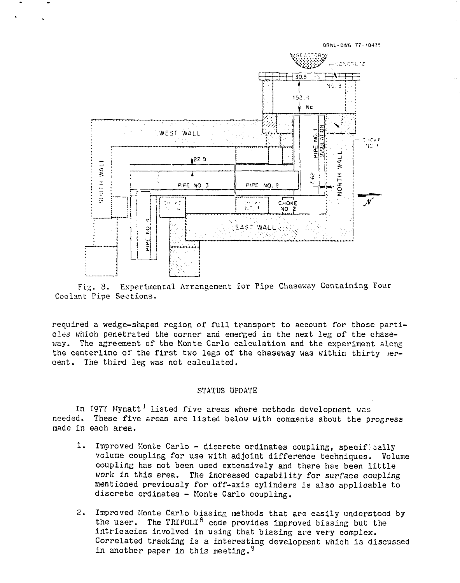

Fig. 8. Experimental Arrangement for Pipe Chaseway Containing Four Coolant Pine Sections.

required a wedge-shaped region of full transport to account for those particles which penetrated the corner and emerged in the next leg of the chaseway. The agreement of the Monte Carlo calculation and the experiment along the centerline of the first two legs of the chaseway was within thirty jercent. The third leg was not calculated.

### STATUS UPDATE

In 1977 Mynatt<sup>1</sup> listed five areas where methods development was needed. These five areas are listed below with comments about the progress made in each area.

- 1. Improved Monte Carlo discrete ordinates coupling, specifically volume coupling for use with adjoint difference techniques. Volume coupling has not been used extensively and there has been little work in this area. The increased capability for surface coupling mentioned previously for off-axis cylinders is also applicable to discrete ordinates - Monte Carlo coupling.
- 2. Improved Monte Carlo biasing methods that are easily understood by the user. The TRIPOLI<sup>8</sup> code provides improved biasing but the intricacies involved in using that biasing are very complex. Correlated tracking is a interesting development which is discussed in another paper in this meeting. 9